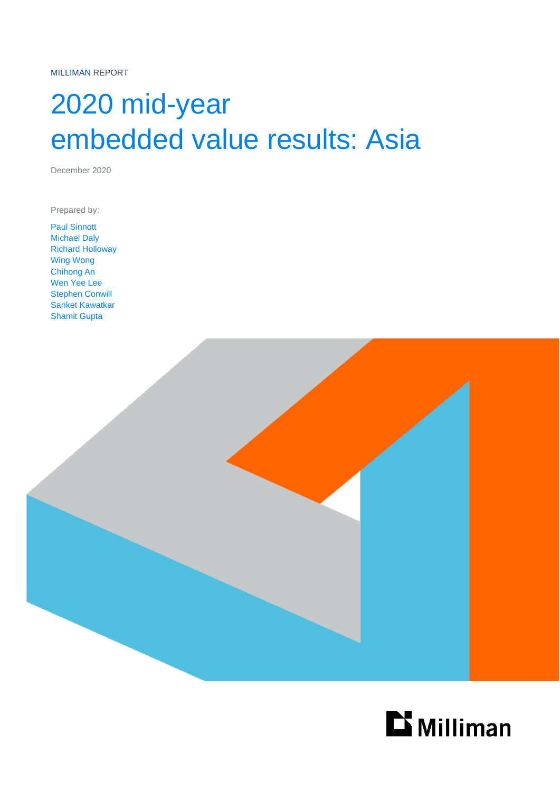MILLIMAN REPORT

# 2020 mid-year embedded value results: Asia

December 2020

Prepared by:

Paul Sinnott Michael Daly Richard Holloway Wing Wong Chihong An Wen Yee Lee Stephen Conwill Sanket Kawatkar Shamit Gupta



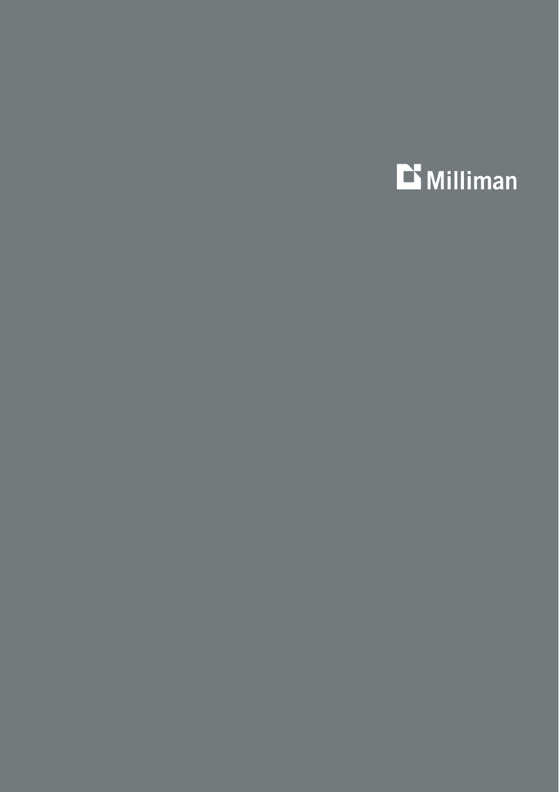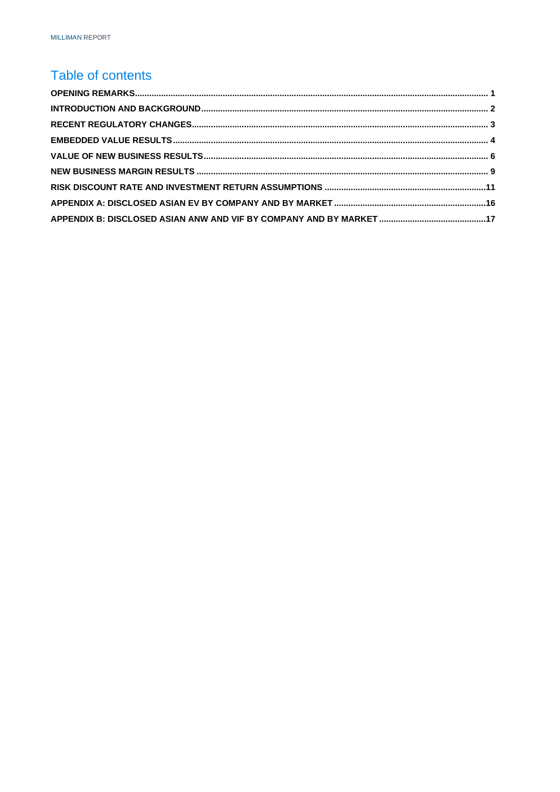### Table of contents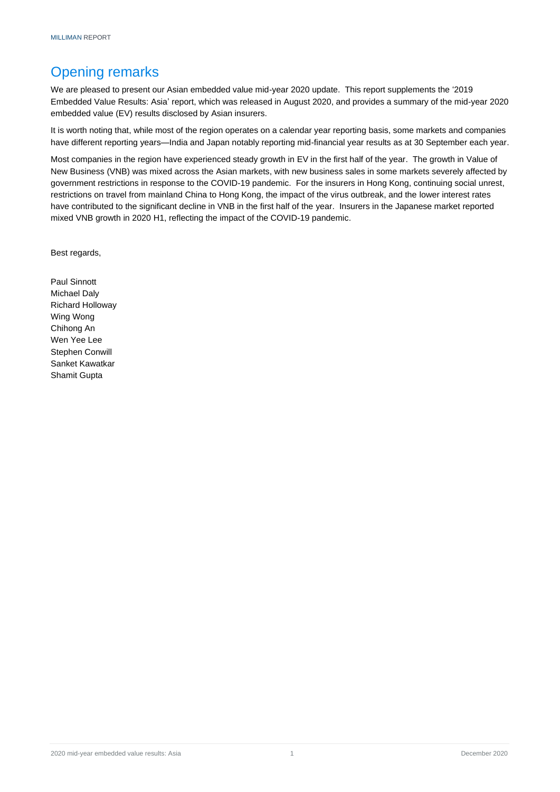### <span id="page-3-0"></span>Opening remarks

We are pleased to present our Asian embedded value mid-year 2020 update. This report supplements the '2019 Embedded Value Results: Asia' report, which was released in August 2020, and provides a summary of the mid-year 2020 embedded value (EV) results disclosed by Asian insurers.

It is worth noting that, while most of the region operates on a calendar year reporting basis, some markets and companies have different reporting years—India and Japan notably reporting mid-financial year results as at 30 September each year.

Most companies in the region have experienced steady growth in EV in the first half of the year. The growth in Value of New Business (VNB) was mixed across the Asian markets, with new business sales in some markets severely affected by government restrictions in response to the COVID-19 pandemic. For the insurers in Hong Kong, continuing social unrest, restrictions on travel from mainland China to Hong Kong, the impact of the virus outbreak, and the lower interest rates have contributed to the significant decline in VNB in the first half of the year. Insurers in the Japanese market reported mixed VNB growth in 2020 H1, reflecting the impact of the COVID-19 pandemic.

Best regards,

Paul Sinnott Michael Daly Richard Holloway Wing Wong Chihong An Wen Yee Lee Stephen Conwill Sanket Kawatkar Shamit Gupta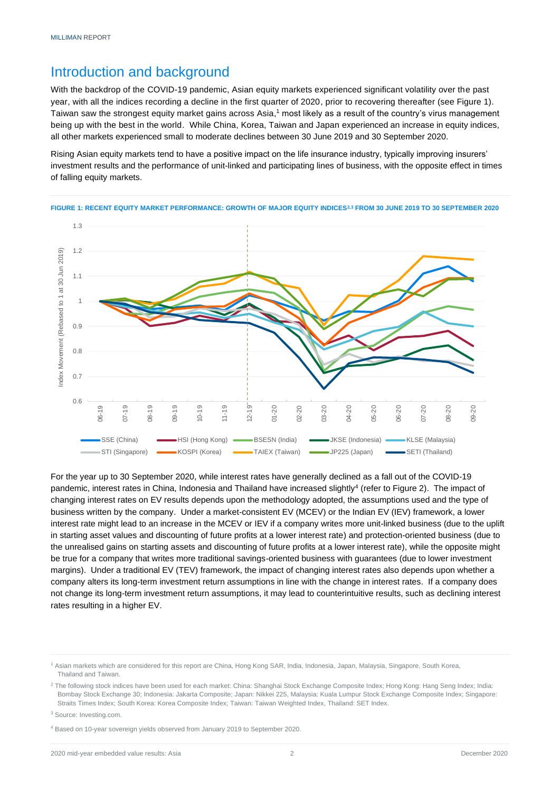### <span id="page-4-0"></span>Introduction and background

With the backdrop of the COVID-19 pandemic, Asian equity markets experienced significant volatility over the past year, with all the indices recording a decline in the first quarter of 2020, prior to recovering thereafter (see Figure 1). Taiwan saw the strongest equity market gains across Asia,<sup>1</sup> most likely as a result of the country's virus management being up with the best in the world. While China, Korea, Taiwan and Japan experienced an increase in equity indices, all other markets experienced small to moderate declines between 30 June 2019 and 30 September 2020.

Rising Asian equity markets tend to have a positive impact on the life insurance industry, typically improving insurers' investment results and the performance of unit-linked and participating lines of business, with the opposite effect in times of falling equity markets.





For the year up to 30 September 2020, while interest rates have generally declined as a fall out of the COVID-19 pandemic, interest rates in China, Indonesia and Thailand have increased slightly<sup>4</sup> (refer to Figure 2). The impact of changing interest rates on EV results depends upon the methodology adopted, the assumptions used and the type of business written by the company. Under a market-consistent EV (MCEV) or the Indian EV (IEV) framework, a lower interest rate might lead to an increase in the MCEV or IEV if a company writes more unit-linked business (due to the uplift in starting asset values and discounting of future profits at a lower interest rate) and protection-oriented business (due to the unrealised gains on starting assets and discounting of future profits at a lower interest rate), while the opposite might be true for a company that writes more traditional savings-oriented business with guarantees (due to lower investment margins). Under a traditional EV (TEV) framework, the impact of changing interest rates also depends upon whether a company alters its long-term investment return assumptions in line with the change in interest rates. If a company does not change its long-term investment return assumptions, it may lead to counterintuitive results, such as declining interest rates resulting in a higher EV.

<sup>2</sup> The following stock indices have been used for each market: China: Shanghai Stock Exchange Composite Index; Hong Kong: Hang Seng Index; India: Bombay Stock Exchange 30; Indonesia: Jakarta Composite; Japan: Nikkei 225, Malaysia: Kuala Lumpur Stock Exchange Composite Index; Singapore: Straits Times Index; South Korea: Korea Composite Index; Taiwan: Taiwan Weighted Index, Thailand: SET Index.

<sup>1</sup> Asian markets which are considered for this report are China, Hong Kong SAR, India, Indonesia, Japan, Malaysia, Singapore, South Korea, Thailand and Taiwan.

<sup>&</sup>lt;sup>3</sup> Source: Investing.com.

<sup>4</sup> Based on 10-year sovereign yields observed from January 2019 to September 2020.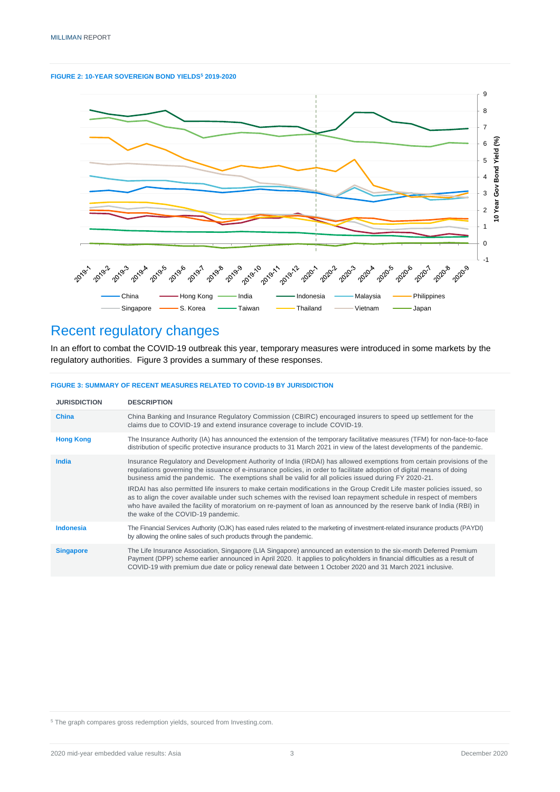



### <span id="page-5-0"></span>Recent regulatory changes

In an effort to combat the COVID-19 outbreak this year, temporary measures were introduced in some markets by the regulatory authorities. Figure 3 provides a summary of these responses.

| <b>FIGURE 3: SUMMARY OF RECENT MEASURES RELATED TO COVID-19 BY JURISDICTION</b> |  |  |
|---------------------------------------------------------------------------------|--|--|
|                                                                                 |  |  |

| <b>JURISDICTION</b> | <b>DESCRIPTION</b>                                                                                                                                                                                                                                                                                                                                                                                          |
|---------------------|-------------------------------------------------------------------------------------------------------------------------------------------------------------------------------------------------------------------------------------------------------------------------------------------------------------------------------------------------------------------------------------------------------------|
| <b>China</b>        | China Banking and Insurance Regulatory Commission (CBIRC) encouraged insurers to speed up settlement for the<br>claims due to COVID-19 and extend insurance coverage to include COVID-19.                                                                                                                                                                                                                   |
| <b>Hong Kong</b>    | The Insurance Authority (IA) has announced the extension of the temporary facilitative measures (TFM) for non-face-to-face<br>distribution of specific protective insurance products to 31 March 2021 in view of the latest developments of the pandemic.                                                                                                                                                   |
| India               | Insurance Regulatory and Development Authority of India (IRDAI) has allowed exemptions from certain provisions of the<br>regulations governing the issuance of e-insurance policies, in order to facilitate adoption of digital means of doing<br>business amid the pandemic. The exemptions shall be valid for all policies issued during FY 2020-21.                                                      |
|                     | IRDAI has also permitted life insurers to make certain modifications in the Group Credit Life master policies issued, so<br>as to align the cover available under such schemes with the revised loan repayment schedule in respect of members<br>who have availed the facility of moratorium on re-payment of loan as announced by the reserve bank of India (RBI) in<br>the wake of the COVID-19 pandemic. |
| <b>Indonesia</b>    | The Financial Services Authority (OJK) has eased rules related to the marketing of investment-related insurance products (PAYDI)<br>by allowing the online sales of such products through the pandemic.                                                                                                                                                                                                     |
| <b>Singapore</b>    | The Life Insurance Association, Singapore (LIA Singapore) announced an extension to the six-month Deferred Premium<br>Payment (DPP) scheme earlier announced in April 2020. It applies to policyholders in financial difficulties as a result of<br>COVID-19 with premium due date or policy renewal date between 1 October 2020 and 31 March 2021 inclusive.                                               |

<span id="page-5-1"></span><sup>5</sup> The graph compares gross redemption yields, sourced from Investing.com.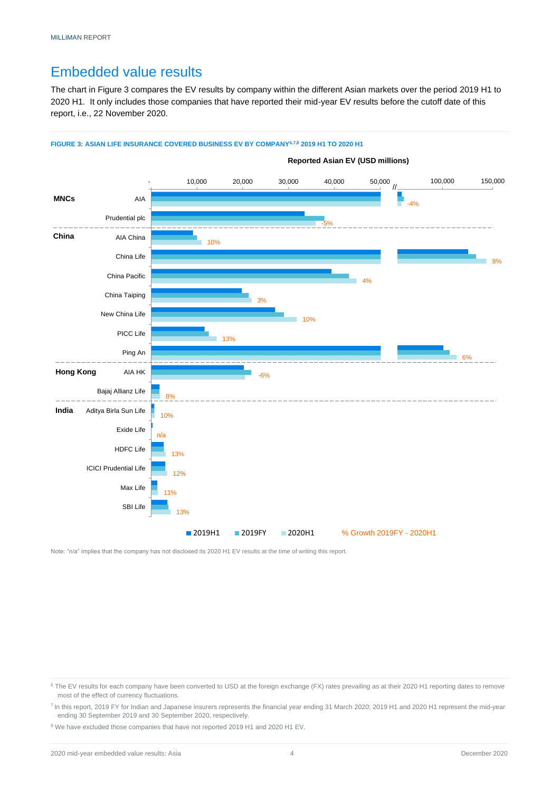### Embedded value results

The chart in Figure 3 compares the EV results by company within the different Asian markets over the period 2019 H1 to 2020 H1. It only includes those companies that have reported their mid-year EV results before the cutoff date of this report, i.e., 22 November 2020.

#### **FIGURE 3: ASIAN LIFE INSURANCE COVERED BUSINESS EV BY COMPANY6,7,8 2019 H1 TO 2020 H1**



Note: "n/a" implies that the company has not disclosed its 2020 H1 EV results at the time of writing this report.

<sup>&</sup>lt;sup>6</sup> The EV results for each company have been converted to USD at the foreign exchange (FX) rates prevailing as at their 2020 H1 reporting dates to remove most of the effect of currency fluctuations.

<sup>&</sup>lt;sup>7</sup> In this report, 2019 FY for Indian and Japanese insurers represents the financial year ending 31 March 2020; 2019 H1 and 2020 H1 represent the mid-year ending 30 September 2019 and 30 September 2020, respectively.

<sup>&</sup>lt;sup>8</sup> We have excluded those companies that have not reported 2019 H1 and 2020 H1 EV.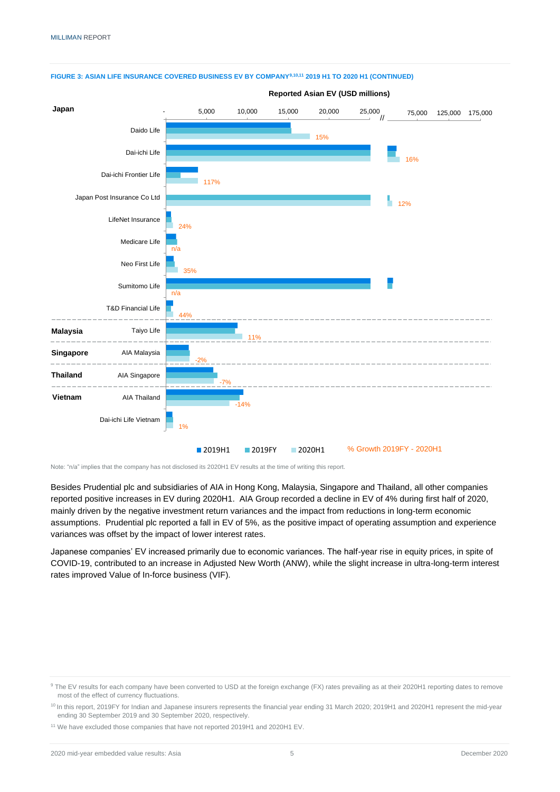

#### **FIGURE 3: ASIAN LIFE INSURANCE COVERED BUSINESS EV BY COMPANY9,10,11 2019 H1 TO 2020 H1 (CONTINUED)**

Note: "n/a" implies that the company has not disclosed its 2020H1 EV results at the time of writing this report.

Besides Prudential plc and subsidiaries of AIA in Hong Kong, Malaysia, Singapore and Thailand, all other companies reported positive increases in EV during 2020H1. AIA Group recorded a decline in EV of 4% during first half of 2020, mainly driven by the negative investment return variances and the impact from reductions in long-term economic assumptions. Prudential plc reported a fall in EV of 5%, as the positive impact of operating assumption and experience variances was offset by the impact of lower interest rates.

<span id="page-7-0"></span>Japanese companies' EV increased primarily due to economic variances. The half-year rise in equity prices, in spite of COVID-19, contributed to an increase in Adjusted New Worth (ANW), while the slight increase in ultra-long-term interest rates improved Value of In-force business (VIF).

<sup>&</sup>lt;sup>9</sup> The EV results for each company have been converted to USD at the foreign exchange (FX) rates prevailing as at their 2020H1 reporting dates to remove most of the effect of currency fluctuations.

<sup>&</sup>lt;sup>10</sup> In this report, 2019FY for Indian and Japanese insurers represents the financial year ending 31 March 2020; 2019H1 and 2020H1 represent the mid-year ending 30 September 2019 and 30 September 2020, respectively.

<sup>&</sup>lt;sup>11</sup> We have excluded those companies that have not reported 2019H1 and 2020H1 EV.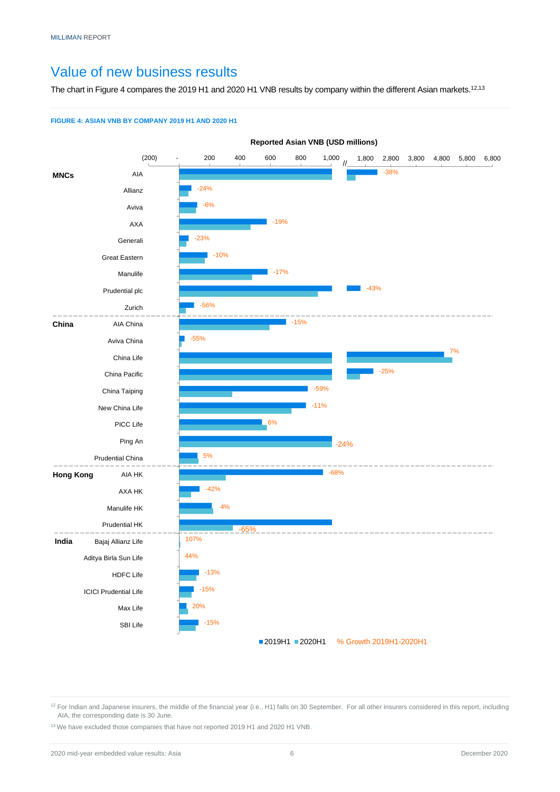### Value of new business results

The chart in Figure 4 compares the 2019 H1 and 2020 H1 VNB results by company within the different Asian markets.<sup>12,13</sup>

#### **FIGURE 4: ASIAN VNB BY COMPANY 2019 H1 AND 2020 H1**



<sup>12</sup> For Indian and Japanese insurers, the middle of the financial year (i.e., H1) falls on 30 September. For all other insurers considered in this report, including AIA, the corresponding date is 30 June.

<sup>13</sup> We have excluded those companies that have not reported 2019 H1 and 2020 H1 VNB.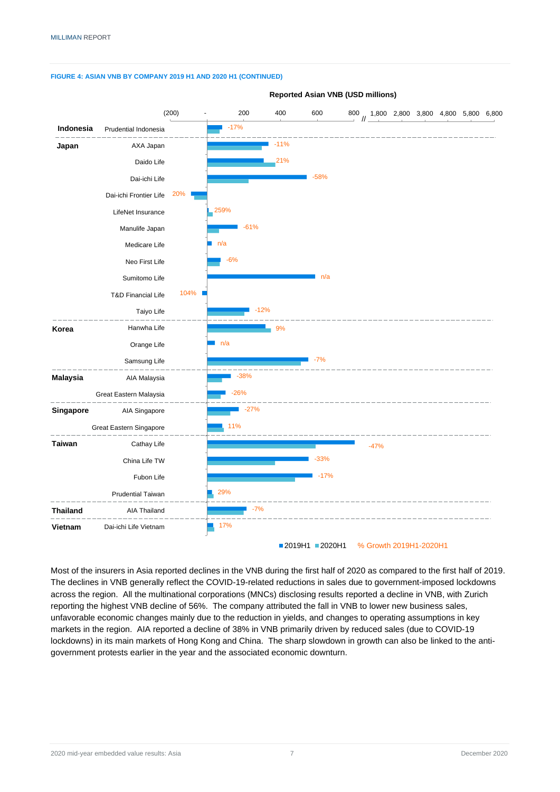

**FIGURE 4: ASIAN VNB BY COMPANY 2019 H1 AND 2020 H1 (CONTINUED)**

Most of the insurers in Asia reported declines in the VNB during the first half of 2020 as compared to the first half of 2019. The declines in VNB generally reflect the COVID-19-related reductions in sales due to government-imposed lockdowns across the region. All the multinational corporations (MNCs) disclosing results reported a decline in VNB, with Zurich reporting the highest VNB decline of 56%. The company attributed the fall in VNB to lower new business sales, unfavorable economic changes mainly due to the reduction in yields, and changes to operating assumptions in key markets in the region. AIA reported a decline of 38% in VNB primarily driven by reduced sales (due to COVID-19 lockdowns) in its main markets of Hong Kong and China. The sharp slowdown in growth can also be linked to the antigovernment protests earlier in the year and the associated economic downturn.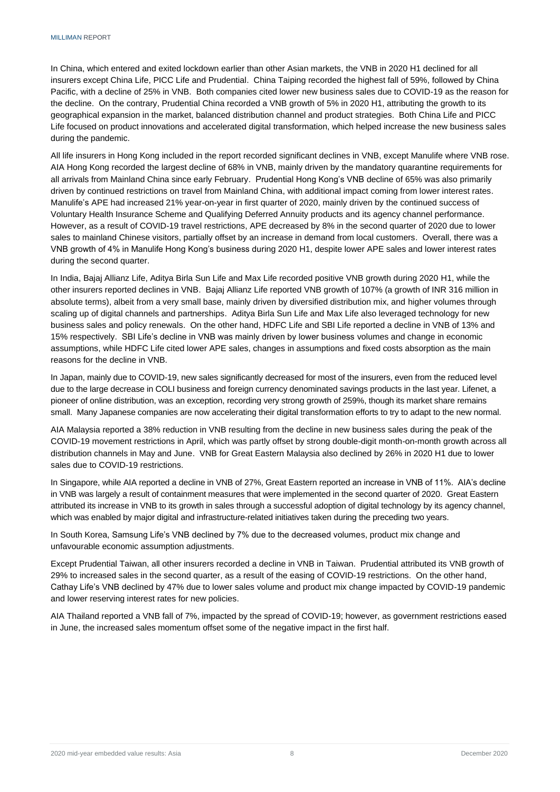In China, which entered and exited lockdown earlier than other Asian markets, the VNB in 2020 H1 declined for all insurers except China Life, PICC Life and Prudential. China Taiping recorded the highest fall of 59%, followed by China Pacific, with a decline of 25% in VNB. Both companies cited lower new business sales due to COVID-19 as the reason for the decline. On the contrary, Prudential China recorded a VNB growth of 5% in 2020 H1, attributing the growth to its geographical expansion in the market, balanced distribution channel and product strategies. Both China Life and PICC Life focused on product innovations and accelerated digital transformation, which helped increase the new business sales during the pandemic.

All life insurers in Hong Kong included in the report recorded significant declines in VNB, except Manulife where VNB rose. AIA Hong Kong recorded the largest decline of 68% in VNB, mainly driven by the mandatory quarantine requirements for all arrivals from Mainland China since early February. Prudential Hong Kong's VNB decline of 65% was also primarily driven by continued restrictions on travel from Mainland China, with additional impact coming from lower interest rates. Manulife's APE had increased 21% year-on-year in first quarter of 2020, mainly driven by the continued success of Voluntary Health Insurance Scheme and Qualifying Deferred Annuity products and its agency channel performance. However, as a result of COVID-19 travel restrictions, APE decreased by 8% in the second quarter of 2020 due to lower sales to mainland Chinese visitors, partially offset by an increase in demand from local customers. Overall, there was a VNB growth of 4% in Manulife Hong Kong's business during 2020 H1, despite lower APE sales and lower interest rates during the second quarter.

In India, Bajaj Allianz Life, Aditya Birla Sun Life and Max Life recorded positive VNB growth during 2020 H1, while the other insurers reported declines in VNB. Bajaj Allianz Life reported VNB growth of 107% (a growth of INR 316 million in absolute terms), albeit from a very small base, mainly driven by diversified distribution mix, and higher volumes through scaling up of digital channels and partnerships. Aditya Birla Sun Life and Max Life also leveraged technology for new business sales and policy renewals. On the other hand, HDFC Life and SBI Life reported a decline in VNB of 13% and 15% respectively. SBI Life's decline in VNB was mainly driven by lower business volumes and change in economic assumptions, while HDFC Life cited lower APE sales, changes in assumptions and fixed costs absorption as the main reasons for the decline in VNB.

In Japan, mainly due to COVID-19, new sales significantly decreased for most of the insurers, even from the reduced level due to the large decrease in COLI business and foreign currency denominated savings products in the last year. Lifenet, a pioneer of online distribution, was an exception, recording very strong growth of 259%, though its market share remains small. Many Japanese companies are now accelerating their digital transformation efforts to try to adapt to the new normal.

AIA Malaysia reported a 38% reduction in VNB resulting from the decline in new business sales during the peak of the COVID-19 movement restrictions in April, which was partly offset by strong double-digit month-on-month growth across all distribution channels in May and June. VNB for Great Eastern Malaysia also declined by 26% in 2020 H1 due to lower sales due to COVID-19 restrictions.

In Singapore, while AIA reported a decline in VNB of 27%, Great Eastern reported an increase in VNB of 11%. AIA's decline in VNB was largely a result of containment measures that were implemented in the second quarter of 2020. Great Eastern attributed its increase in VNB to its growth in sales through a successful adoption of digital technology by its agency channel, which was enabled by major digital and infrastructure-related initiatives taken during the preceding two years.

In South Korea, Samsung Life's VNB declined by 7% due to the decreased volumes, product mix change and unfavourable economic assumption adjustments.

Except Prudential Taiwan, all other insurers recorded a decline in VNB in Taiwan. Prudential attributed its VNB growth of 29% to increased sales in the second quarter, as a result of the easing of COVID-19 restrictions. On the other hand, Cathay Life's VNB declined by 47% due to lower sales volume and product mix change impacted by COVID-19 pandemic and lower reserving interest rates for new policies.

AIA Thailand reported a VNB fall of 7%, impacted by the spread of COVID-19; however, as government restrictions eased in June, the increased sales momentum offset some of the negative impact in the first half.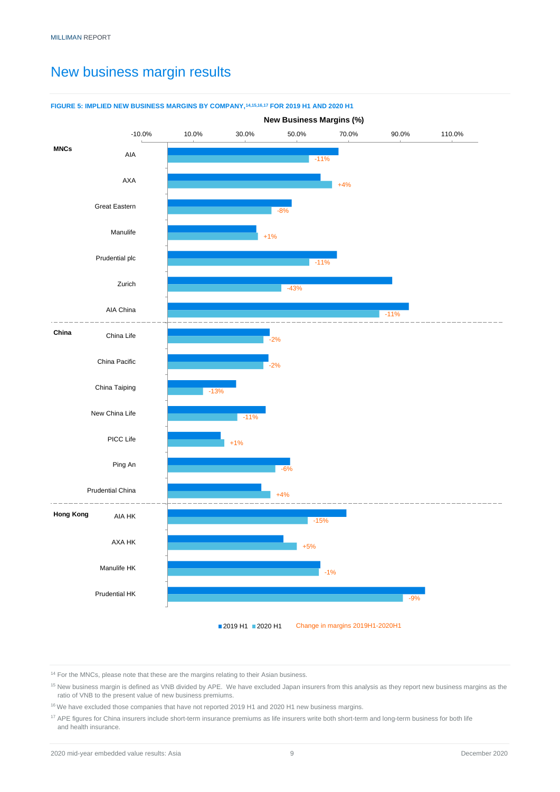### <span id="page-11-0"></span>New business margin results



#### **FIGURE 5: IMPLIED NEW BUSINESS MARGINS BY COMPANY,14,15,16,17 FOR 2019 H1 AND 2020 H1**

 $14$  For the MNCs, please note that these are the margins relating to their Asian business.

<sup>&</sup>lt;sup>15</sup> New business margin is defined as VNB divided by APE. We have excluded Japan insurers from this analysis as they report new business margins as the ratio of VNB to the present value of new business premiums.

<sup>16</sup> We have excluded those companies that have not reported 2019 H1 and 2020 H1 new business margins.

<sup>&</sup>lt;sup>17</sup> APE figures for China insurers include short-term insurance premiums as life insurers write both short-term and long-term business for both life and health insurance.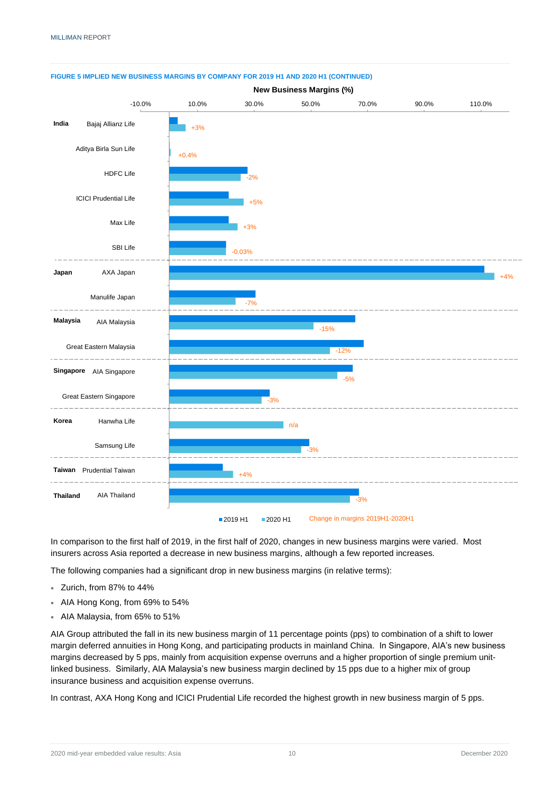

#### **FIGURE 5 IMPLIED NEW BUSINESS MARGINS BY COMPANY FOR 2019 H1 AND 2020 H1 (CONTINUED)**

In comparison to the first half of 2019, in the first half of 2020, changes in new business margins were varied. Most insurers across Asia reported a decrease in new business margins, although a few reported increases.

The following companies had a significant drop in new business margins (in relative terms):

- Zurich, from 87% to 44%
- AIA Hong Kong, from 69% to 54%
- AIA Malaysia, from 65% to 51%

AIA Group attributed the fall in its new business margin of 11 percentage points (pps) to combination of a shift to lower margin deferred annuities in Hong Kong, and participating products in mainland China. In Singapore, AIA's new business margins decreased by 5 pps, mainly from acquisition expense overruns and a higher proportion of single premium unitlinked business. Similarly, AIA Malaysia's new business margin declined by 15 pps due to a higher mix of group insurance business and acquisition expense overruns.

In contrast, AXA Hong Kong and ICICI Prudential Life recorded the highest growth in new business margin of 5 pps.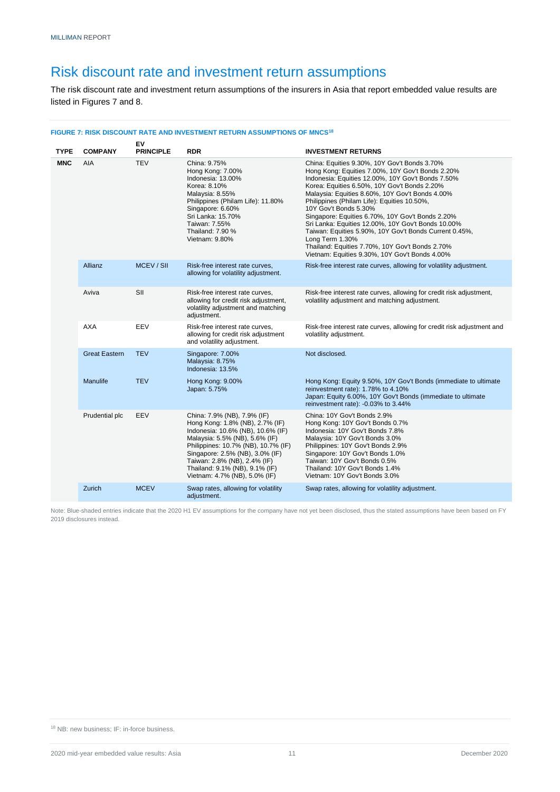### <span id="page-13-0"></span>Risk discount rate and investment return assumptions

The risk discount rate and investment return assumptions of the insurers in Asia that report embedded value results are listed in Figures 7 and 8.

#### **FIGURE 7: RISK DISCOUNT RATE AND INVESTMENT RETURN ASSUMPTIONS OF MNCS<sup>18</sup>**

| <b>TYPE</b> | <b>COMPANY</b>       | EV<br><b>PRINCIPLE</b> | <b>RDR</b>                                                                                                                                                                                                                                                                                                         | <b>INVESTMENT RETURNS</b>                                                                                                                                                                                                                                                                                                                                                                                                                                                                                                                                                                                                    |  |  |  |  |  |
|-------------|----------------------|------------------------|--------------------------------------------------------------------------------------------------------------------------------------------------------------------------------------------------------------------------------------------------------------------------------------------------------------------|------------------------------------------------------------------------------------------------------------------------------------------------------------------------------------------------------------------------------------------------------------------------------------------------------------------------------------------------------------------------------------------------------------------------------------------------------------------------------------------------------------------------------------------------------------------------------------------------------------------------------|--|--|--|--|--|
| <b>MNC</b>  | AIA                  | <b>TEV</b>             | China: 9.75%<br>Hong Kong: 7.00%<br>Indonesia: 13.00%<br>Korea: 8.10%<br>Malaysia: 8.55%<br>Philippines (Philam Life): 11.80%<br>Singapore: 6.60%<br>Sri Lanka: 15.70%<br>Taiwan: 7.55%<br>Thailand: 7.90 %<br>Vietnam: 9.80%                                                                                      | China: Equities 9.30%, 10Y Gov't Bonds 3.70%<br>Hong Kong: Equities 7.00%, 10Y Gov't Bonds 2.20%<br>Indonesia: Equities 12.00%, 10Y Gov't Bonds 7.50%<br>Korea: Equities 6.50%, 10Y Gov't Bonds 2.20%<br>Malaysia: Equities 8.60%, 10Y Gov't Bonds 4.00%<br>Philippines (Philam Life): Equities 10.50%,<br>10Y Gov't Bonds 5.30%<br>Singapore: Equities 6.70%, 10Y Gov't Bonds 2.20%<br>Sri Lanka: Equities 12.00%, 10Y Gov't Bonds 10.00%<br>Taiwan: Equities 5.90%, 10Y Gov't Bonds Current 0.45%,<br>Long Term 1.30%<br>Thailand: Equities 7.70%, 10Y Gov't Bonds 2.70%<br>Vietnam: Equities 9.30%, 10Y Gov't Bonds 4.00% |  |  |  |  |  |
|             | <b>Allianz</b>       | MCEV / SII             | Risk-free interest rate curves.<br>allowing for volatility adjustment.                                                                                                                                                                                                                                             | Risk-free interest rate curves, allowing for volatility adjustment.                                                                                                                                                                                                                                                                                                                                                                                                                                                                                                                                                          |  |  |  |  |  |
|             | Aviva                | SII                    | Risk-free interest rate curves,<br>allowing for credit risk adjustment,<br>volatility adjustment and matching<br>adjustment.                                                                                                                                                                                       | Risk-free interest rate curves, allowing for credit risk adjustment,<br>volatility adjustment and matching adjustment.                                                                                                                                                                                                                                                                                                                                                                                                                                                                                                       |  |  |  |  |  |
|             | <b>AXA</b>           | EEV                    | Risk-free interest rate curves,<br>allowing for credit risk adjustment<br>and volatility adjustment.                                                                                                                                                                                                               | Risk-free interest rate curves, allowing for credit risk adjustment and<br>volatility adjustment.                                                                                                                                                                                                                                                                                                                                                                                                                                                                                                                            |  |  |  |  |  |
|             | <b>Great Eastern</b> | <b>TEV</b>             | Singapore: 7.00%<br>Malaysia: 8.75%<br>Indonesia: 13.5%                                                                                                                                                                                                                                                            | Not disclosed.                                                                                                                                                                                                                                                                                                                                                                                                                                                                                                                                                                                                               |  |  |  |  |  |
|             | <b>Manulife</b>      | <b>TEV</b>             | Hong Kong: 9.00%<br>Japan: 5.75%                                                                                                                                                                                                                                                                                   | Hong Kong: Equity 9.50%, 10Y Gov't Bonds (immediate to ultimate<br>reinvestment rate): 1.78% to 4.10%<br>Japan: Equity 6.00%, 10Y Gov't Bonds (immediate to ultimate<br>reinvestment rate): -0.03% to 3.44%                                                                                                                                                                                                                                                                                                                                                                                                                  |  |  |  |  |  |
|             | Prudential plc       | EEV                    | China: 7.9% (NB), 7.9% (IF)<br>Hong Kong: 1.8% (NB), 2.7% (IF)<br>Indonesia: 10.6% (NB), 10.6% (IF)<br>Malaysia: 5.5% (NB), 5.6% (IF)<br>Philippines: 10.7% (NB), 10.7% (IF)<br>Singapore: 2.5% (NB), 3.0% (IF)<br>Taiwan: 2.8% (NB), 2.4% (IF)<br>Thailand: 9.1% (NB), 9.1% (IF)<br>Vietnam: 4.7% (NB), 5.0% (IF) | China: 10Y Gov't Bonds 2.9%<br>Hong Kong: 10Y Gov't Bonds 0.7%<br>Indonesia: 10Y Gov't Bonds 7.8%<br>Malaysia: 10Y Gov't Bonds 3.0%<br>Philippines: 10Y Gov't Bonds 2.9%<br>Singapore: 10Y Gov't Bonds 1.0%<br>Taiwan: 10Y Gov't Bonds 0.5%<br>Thailand: 10Y Gov't Bonds 1.4%<br>Vietnam: 10Y Gov't Bonds 3.0%                                                                                                                                                                                                                                                                                                               |  |  |  |  |  |
|             | Zurich               | <b>MCEV</b>            | Swap rates, allowing for volatility<br>adjustment.                                                                                                                                                                                                                                                                 | Swap rates, allowing for volatility adjustment.                                                                                                                                                                                                                                                                                                                                                                                                                                                                                                                                                                              |  |  |  |  |  |

Note: Blue-shaded entries indicate that the 2020 H1 EV assumptions for the company have not yet been disclosed, thus the stated assumptions have been based on FY 2019 disclosures instead.

<sup>18</sup> NB: new business; IF: in-force business.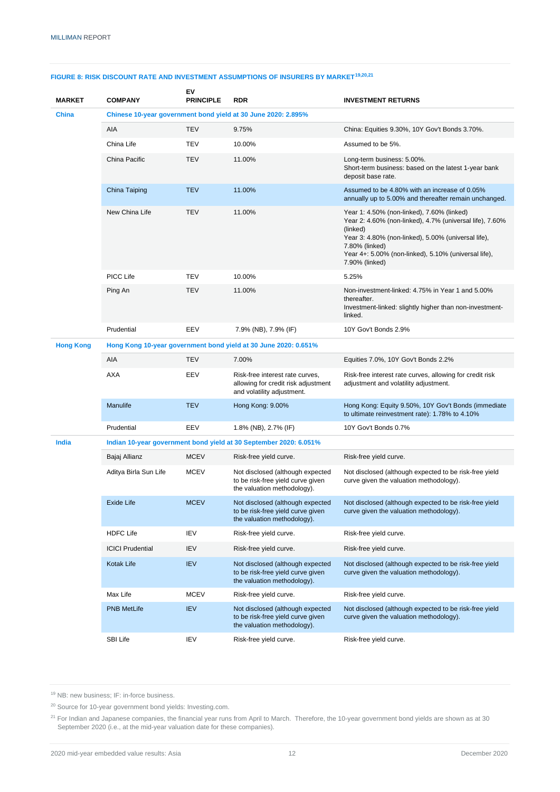| <b>MARKET</b>    | <b>COMPANY</b>                                                  | EV<br><b>PRINCIPLE</b> | <b>RDR</b>                                                                                           | <b>INVESTMENT RETURNS</b>                                                                                                                                                                                                                                             |  |  |  |  |  |  |  |
|------------------|-----------------------------------------------------------------|------------------------|------------------------------------------------------------------------------------------------------|-----------------------------------------------------------------------------------------------------------------------------------------------------------------------------------------------------------------------------------------------------------------------|--|--|--|--|--|--|--|
| <b>China</b>     |                                                                 |                        | Chinese 10-year government bond yield at 30 June 2020: 2.895%                                        |                                                                                                                                                                                                                                                                       |  |  |  |  |  |  |  |
|                  | AIA                                                             | <b>TEV</b>             | 9.75%                                                                                                | China: Equities 9.30%, 10Y Gov't Bonds 3.70%.                                                                                                                                                                                                                         |  |  |  |  |  |  |  |
|                  | China Life                                                      | TEV                    | 10.00%                                                                                               | Assumed to be 5%.                                                                                                                                                                                                                                                     |  |  |  |  |  |  |  |
|                  | China Pacific                                                   | <b>TEV</b>             | 11.00%                                                                                               | Long-term business: 5.00%.<br>Short-term business: based on the latest 1-year bank<br>deposit base rate.                                                                                                                                                              |  |  |  |  |  |  |  |
|                  | China Taiping                                                   | <b>TEV</b>             | 11.00%                                                                                               | Assumed to be 4.80% with an increase of 0.05%<br>annually up to 5.00% and thereafter remain unchanged.                                                                                                                                                                |  |  |  |  |  |  |  |
|                  | New China Life                                                  | <b>TEV</b>             | 11.00%                                                                                               | Year 1: 4.50% (non-linked), 7.60% (linked)<br>Year 2: 4.60% (non-linked), 4.7% (universal life), 7.60%<br>(linked)<br>Year 3: 4.80% (non-linked), 5.00% (universal life),<br>7.80% (linked)<br>Year 4+: 5.00% (non-linked), 5.10% (universal life),<br>7.90% (linked) |  |  |  |  |  |  |  |
|                  | PICC Life                                                       | TEV                    | 10.00%                                                                                               | 5.25%                                                                                                                                                                                                                                                                 |  |  |  |  |  |  |  |
|                  | Ping An<br><b>TEV</b>                                           |                        | 11.00%                                                                                               | Non-investment-linked: 4.75% in Year 1 and 5.00%<br>thereafter.<br>Investment-linked: slightly higher than non-investment-<br>linked.                                                                                                                                 |  |  |  |  |  |  |  |
|                  | EEV<br>Prudential                                               |                        | 7.9% (NB), 7.9% (IF)                                                                                 | 10Y Gov't Bonds 2.9%                                                                                                                                                                                                                                                  |  |  |  |  |  |  |  |
| <b>Hong Kong</b> | Hong Kong 10-year government bond yield at 30 June 2020: 0.651% |                        |                                                                                                      |                                                                                                                                                                                                                                                                       |  |  |  |  |  |  |  |
|                  | AIA                                                             | <b>TEV</b>             | 7.00%                                                                                                | Equities 7.0%, 10Y Gov't Bonds 2.2%                                                                                                                                                                                                                                   |  |  |  |  |  |  |  |
|                  | AXA                                                             | EEV                    | Risk-free interest rate curves,<br>allowing for credit risk adjustment<br>and volatility adjustment. | Risk-free interest rate curves, allowing for credit risk<br>adjustment and volatility adjustment.                                                                                                                                                                     |  |  |  |  |  |  |  |
|                  | Manulife<br><b>TEV</b>                                          |                        | Hong Kong: 9.00%                                                                                     | Hong Kong: Equity 9.50%, 10Y Gov't Bonds (immediate<br>to ultimate reinvestment rate): 1.78% to 4.10%                                                                                                                                                                 |  |  |  |  |  |  |  |
|                  | Prudential                                                      | EEV                    | 1.8% (NB), 2.7% (IF)                                                                                 | 10Y Gov't Bonds 0.7%                                                                                                                                                                                                                                                  |  |  |  |  |  |  |  |
| India            |                                                                 |                        | Indian 10-year government bond yield at 30 September 2020: 6.051%                                    |                                                                                                                                                                                                                                                                       |  |  |  |  |  |  |  |
|                  | Bajaj Allianz                                                   | <b>MCEV</b>            | Risk-free yield curve.                                                                               | Risk-free yield curve.                                                                                                                                                                                                                                                |  |  |  |  |  |  |  |
|                  | Aditya Birla Sun Life<br><b>MCEV</b>                            |                        | Not disclosed (although expected<br>to be risk-free yield curve given<br>the valuation methodology). | Not disclosed (although expected to be risk-free yield<br>curve given the valuation methodology).                                                                                                                                                                     |  |  |  |  |  |  |  |
|                  | Exide Life                                                      | <b>MCEV</b>            | Not disclosed (although expected<br>to be risk-free yield curve given<br>the valuation methodology). | Not disclosed (although expected to be risk-free yield<br>curve given the valuation methodology).                                                                                                                                                                     |  |  |  |  |  |  |  |
|                  | <b>HDFC Life</b>                                                | IEV                    | Risk-free yield curve.                                                                               | Risk-free yield curve.                                                                                                                                                                                                                                                |  |  |  |  |  |  |  |
|                  | <b>ICICI Prudential</b>                                         | IEV                    | Risk-free yield curve.                                                                               | Risk-free yield curve.                                                                                                                                                                                                                                                |  |  |  |  |  |  |  |
|                  | Kotak Life                                                      | <b>IEV</b>             | Not disclosed (although expected<br>to be risk-free yield curve given<br>the valuation methodology). | Not disclosed (although expected to be risk-free yield<br>curve given the valuation methodology).                                                                                                                                                                     |  |  |  |  |  |  |  |
|                  | Max Life                                                        | <b>MCEV</b>            | Risk-free yield curve.                                                                               | Risk-free yield curve.                                                                                                                                                                                                                                                |  |  |  |  |  |  |  |
|                  | <b>PNB MetLife</b>                                              | <b>IEV</b>             | Not disclosed (although expected<br>to be risk-free yield curve given<br>the valuation methodology). | Not disclosed (although expected to be risk-free yield<br>curve given the valuation methodology).                                                                                                                                                                     |  |  |  |  |  |  |  |
|                  | SBI Life                                                        | IEV                    | Risk-free yield curve.                                                                               | Risk-free yield curve.                                                                                                                                                                                                                                                |  |  |  |  |  |  |  |

#### **FIGURE 8: RISK DISCOUNT RATE AND INVESTMENT ASSUMPTIONS OF INSURERS BY MARKET19,20,21**

<sup>19</sup> NB: new business; IF: in-force business.

<sup>20</sup> Source for 10-year government bond yields: Investing.com.

<sup>&</sup>lt;sup>21</sup> For Indian and Japanese companies, the financial year runs from April to March. Therefore, the 10-year government bond yields are shown as at 30 September 2020 (i.e., at the mid-year valuation date for these companies).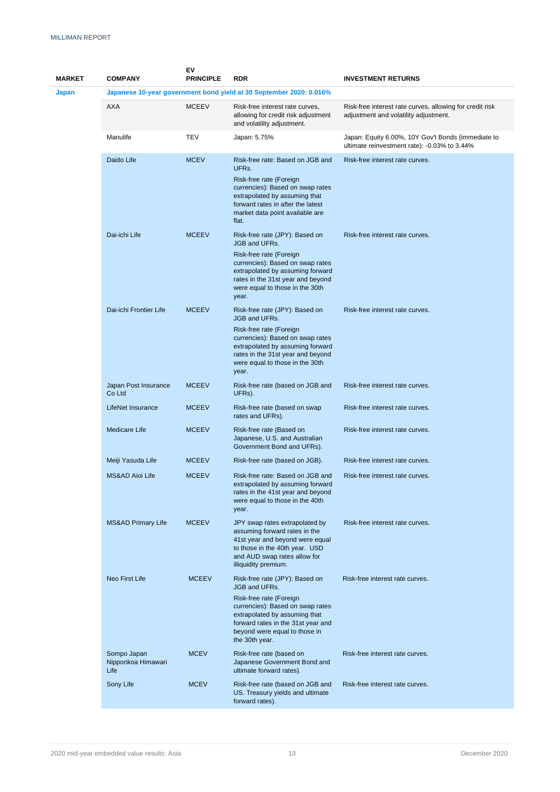| <b>MARKET</b> | <b>COMPANY</b>                            | ΕV<br><b>PRINCIPLE</b> | <b>RDR</b>                                                                                                                                                                                                                                 | <b>INVESTMENT RETURNS</b>                                                                          |
|---------------|-------------------------------------------|------------------------|--------------------------------------------------------------------------------------------------------------------------------------------------------------------------------------------------------------------------------------------|----------------------------------------------------------------------------------------------------|
| Japan         |                                           |                        | Japanese 10-year government bond yield at 30 September 2020: 0.016%                                                                                                                                                                        |                                                                                                    |
|               | <b>AXA</b>                                | <b>MCEEV</b>           | Risk-free interest rate curves,<br>allowing for credit risk adjustment<br>and volatility adjustment.                                                                                                                                       | Risk-free interest rate curves, allowing for credit risk<br>adjustment and volatility adjustment.  |
|               | Manulife                                  | TEV                    | Japan: 5.75%                                                                                                                                                                                                                               | Japan: Equity 6.00%, 10Y Gov't Bonds (immediate to<br>ultimate reinvestment rate): -0.03% to 3.44% |
|               | Daido Life                                | <b>MCEV</b>            | Risk-free rate: Based on JGB and<br>UFRs.<br>Risk-free rate (Foreign<br>currencies): Based on swap rates<br>extrapolated by assuming that<br>forward rates in after the latest<br>market data point available are<br>flat.                 | Risk-free interest rate curves.                                                                    |
|               | Dai-ichi Life                             | <b>MCEEV</b>           | Risk-free rate (JPY): Based on<br><b>JGB and UFRs.</b><br>Risk-free rate (Foreign<br>currencies): Based on swap rates<br>extrapolated by assuming forward<br>rates in the 31st year and beyond<br>were equal to those in the 30th<br>year. | Risk-free interest rate curves.                                                                    |
|               | Dai-ichi Frontier Life                    | <b>MCEEV</b>           | Risk-free rate (JPY): Based on<br><b>JGB and UFRs.</b><br>Risk-free rate (Foreign<br>currencies): Based on swap rates<br>extrapolated by assuming forward<br>rates in the 31st year and beyond<br>were equal to those in the 30th<br>year. | Risk-free interest rate curves.                                                                    |
|               | Japan Post Insurance<br>Co Ltd            | <b>MCEEV</b>           | Risk-free rate (based on JGB and<br>UFRs).                                                                                                                                                                                                 | Risk-free interest rate curves.                                                                    |
|               | <b>LifeNet Insurance</b>                  | <b>MCEEV</b>           | Risk-free rate (based on swap<br>rates and UFRs).                                                                                                                                                                                          | Risk-free interest rate curves.                                                                    |
|               | <b>Medicare Life</b>                      | <b>MCEEV</b>           | Risk-free rate (Based on<br>Japanese, U.S. and Australian<br>Government Bond and UFRs).                                                                                                                                                    | Risk-free interest rate curves.                                                                    |
|               | Meiji Yasuda Life                         | <b>MCEEV</b>           | Risk-free rate (based on JGB).                                                                                                                                                                                                             | Risk-free interest rate curves.                                                                    |
|               | MS&AD Aioi Life                           | <b>MCEEV</b>           | Risk-free rate: Based on JGB and<br>extrapolated by assuming forward<br>rates in the 41st year and beyond<br>were equal to those in the 40th<br>year.                                                                                      | Risk-free interest rate curves.                                                                    |
|               | <b>MS&amp;AD Primary Life</b>             | <b>MCEEV</b>           | JPY swap rates extrapolated by<br>assuming forward rates in the<br>41st year and beyond were equal<br>to those in the 40th year. USD<br>and AUD swap rates allow for<br>illiquidity premium.                                               | Risk-free interest rate curves.                                                                    |
|               | Neo First Life                            | <b>MCEEV</b>           | Risk-free rate (JPY): Based on<br><b>JGB and UFRs.</b><br>Risk-free rate (Foreign<br>currencies): Based on swap rates                                                                                                                      | Risk-free interest rate curves.                                                                    |
|               |                                           |                        | extrapolated by assuming that<br>forward rates in the 31st year and<br>beyond were equal to those in<br>the 30th year.                                                                                                                     |                                                                                                    |
|               | Sompo Japan<br>Nipponkoa Himawari<br>Life | <b>MCEV</b>            | Risk-free rate (based on<br>Japanese Government Bond and<br>ultimate forward rates).                                                                                                                                                       | Risk-free interest rate curves.                                                                    |
|               | Sony Life                                 | <b>MCEV</b>            | Risk-free rate (based on JGB and<br>US. Treasury yields and ultimate<br>forward rates).                                                                                                                                                    | Risk-free interest rate curves.                                                                    |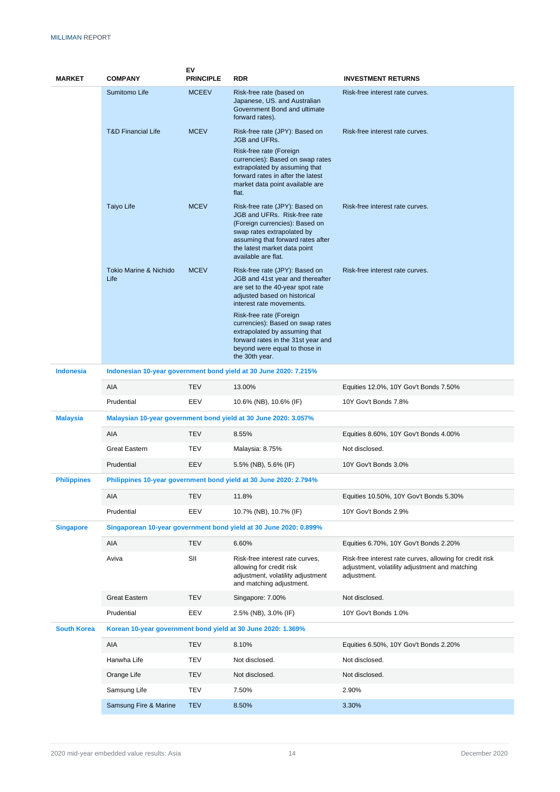| <b>MARKET</b>      | <b>COMPANY</b>                                                    | ΕV<br><b>PRINCIPLE</b> | <b>RDR</b>                                                                                                                                                                                                                                                                                                                                                  | <b>INVESTMENT RETURNS</b>                                                                                                 |  |  |  |  |  |  |
|--------------------|-------------------------------------------------------------------|------------------------|-------------------------------------------------------------------------------------------------------------------------------------------------------------------------------------------------------------------------------------------------------------------------------------------------------------------------------------------------------------|---------------------------------------------------------------------------------------------------------------------------|--|--|--|--|--|--|
|                    | Sumitomo Life                                                     | <b>MCEEV</b>           | Risk-free rate (based on<br>Japanese, US. and Australian<br>Government Bond and ultimate<br>forward rates).                                                                                                                                                                                                                                                 | Risk-free interest rate curves.                                                                                           |  |  |  |  |  |  |
|                    | <b>T&amp;D Financial Life</b>                                     | <b>MCEV</b>            | Risk-free rate (JPY): Based on<br><b>JGB and UFRs.</b>                                                                                                                                                                                                                                                                                                      | Risk-free interest rate curves.                                                                                           |  |  |  |  |  |  |
|                    |                                                                   |                        | Risk-free rate (Foreign<br>currencies): Based on swap rates<br>extrapolated by assuming that<br>forward rates in after the latest<br>market data point available are<br>flat.                                                                                                                                                                               |                                                                                                                           |  |  |  |  |  |  |
|                    | Taiyo Life                                                        | <b>MCEV</b>            | Risk-free rate (JPY): Based on<br>JGB and UFRs. Risk-free rate<br>(Foreign currencies): Based on<br>swap rates extrapolated by<br>assuming that forward rates after<br>the latest market data point<br>available are flat.                                                                                                                                  | Risk-free interest rate curves.                                                                                           |  |  |  |  |  |  |
|                    | <b>Tokio Marine &amp; Nichido</b><br>Life                         | <b>MCEV</b>            | Risk-free rate (JPY): Based on<br>JGB and 41st year and thereafter<br>are set to the 40-year spot rate<br>adjusted based on historical<br>interest rate movements.<br>Risk-free rate (Foreign<br>currencies): Based on swap rates<br>extrapolated by assuming that<br>forward rates in the 31st year and<br>beyond were equal to those in<br>the 30th year. | Risk-free interest rate curves.                                                                                           |  |  |  |  |  |  |
| <b>Indonesia</b>   | Indonesian 10-year government bond yield at 30 June 2020: 7.215%  |                        |                                                                                                                                                                                                                                                                                                                                                             |                                                                                                                           |  |  |  |  |  |  |
|                    | AIA                                                               | <b>TEV</b>             | 13.00%                                                                                                                                                                                                                                                                                                                                                      | Equities 12.0%, 10Y Gov't Bonds 7.50%                                                                                     |  |  |  |  |  |  |
|                    | Prudential                                                        | EEV                    | 10.6% (NB), 10.6% (IF)                                                                                                                                                                                                                                                                                                                                      | 10Y Gov't Bonds 7.8%                                                                                                      |  |  |  |  |  |  |
| <b>Malaysia</b>    | Malaysian 10-year government bond yield at 30 June 2020: 3.057%   |                        |                                                                                                                                                                                                                                                                                                                                                             |                                                                                                                           |  |  |  |  |  |  |
|                    | AIA                                                               | <b>TEV</b>             | 8.55%                                                                                                                                                                                                                                                                                                                                                       | Equities 8.60%, 10Y Gov't Bonds 4.00%                                                                                     |  |  |  |  |  |  |
|                    | <b>Great Eastern</b>                                              | <b>TEV</b>             | Malaysia: 8.75%                                                                                                                                                                                                                                                                                                                                             | Not disclosed.                                                                                                            |  |  |  |  |  |  |
|                    | Prudential                                                        | EEV                    | 5.5% (NB), 5.6% (IF)                                                                                                                                                                                                                                                                                                                                        | 10Y Gov't Bonds 3.0%                                                                                                      |  |  |  |  |  |  |
| <b>Philippines</b> | Philippines 10-year government bond yield at 30 June 2020: 2.794% |                        |                                                                                                                                                                                                                                                                                                                                                             |                                                                                                                           |  |  |  |  |  |  |
|                    | AIA                                                               | TEV                    | 11.8%                                                                                                                                                                                                                                                                                                                                                       | Equities 10.50%, 10Y Gov't Bonds 5.30%                                                                                    |  |  |  |  |  |  |
|                    | Prudential                                                        | EEV                    | 10.7% (NB), 10.7% (IF)                                                                                                                                                                                                                                                                                                                                      | 10Y Gov't Bonds 2.9%                                                                                                      |  |  |  |  |  |  |
| <b>Singapore</b>   |                                                                   |                        | Singaporean 10-year government bond yield at 30 June 2020: 0.899%                                                                                                                                                                                                                                                                                           |                                                                                                                           |  |  |  |  |  |  |
|                    | AIA                                                               | <b>TEV</b>             | 6.60%                                                                                                                                                                                                                                                                                                                                                       | Equities 6.70%, 10Y Gov't Bonds 2.20%                                                                                     |  |  |  |  |  |  |
|                    | Aviva                                                             | SII                    | Risk-free interest rate curves,<br>allowing for credit risk<br>adjustment, volatility adjustment<br>and matching adjustment.                                                                                                                                                                                                                                | Risk-free interest rate curves, allowing for credit risk<br>adjustment, volatility adjustment and matching<br>adjustment. |  |  |  |  |  |  |
|                    | <b>Great Eastern</b>                                              | <b>TEV</b>             | Singapore: 7.00%                                                                                                                                                                                                                                                                                                                                            | Not disclosed.                                                                                                            |  |  |  |  |  |  |
|                    | Prudential                                                        | EEV                    | 2.5% (NB), 3.0% (IF)                                                                                                                                                                                                                                                                                                                                        | 10Y Gov't Bonds 1.0%                                                                                                      |  |  |  |  |  |  |
| <b>South Korea</b> |                                                                   |                        | Korean 10-year government bond yield at 30 June 2020: 1.369%                                                                                                                                                                                                                                                                                                |                                                                                                                           |  |  |  |  |  |  |
|                    | AIA                                                               | <b>TEV</b>             | 8.10%                                                                                                                                                                                                                                                                                                                                                       | Equities 6.50%, 10Y Gov't Bonds 2.20%                                                                                     |  |  |  |  |  |  |
|                    | Hanwha Life                                                       | TEV                    | Not disclosed.                                                                                                                                                                                                                                                                                                                                              | Not disclosed.                                                                                                            |  |  |  |  |  |  |
|                    | Orange Life                                                       | <b>TEV</b>             | Not disclosed.                                                                                                                                                                                                                                                                                                                                              | Not disclosed.                                                                                                            |  |  |  |  |  |  |
|                    | Samsung Life                                                      | <b>TEV</b>             | 7.50%                                                                                                                                                                                                                                                                                                                                                       | 2.90%                                                                                                                     |  |  |  |  |  |  |
|                    | Samsung Fire & Marine                                             | <b>TEV</b>             | 8.50%                                                                                                                                                                                                                                                                                                                                                       | 3.30%                                                                                                                     |  |  |  |  |  |  |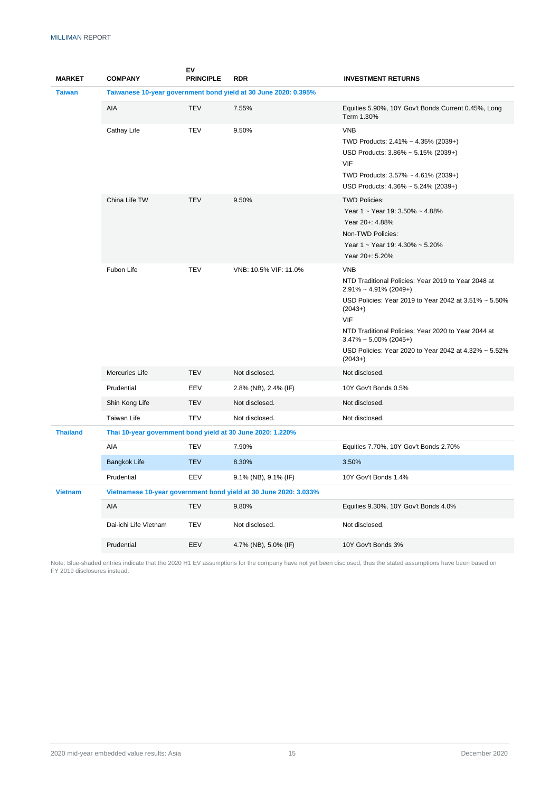| <b>MARKET</b>   | <b>COMPANY</b>                                                  | ΕV<br><b>PRINCIPLE</b> | <b>RDR</b>                                                       | <b>INVESTMENT RETURNS</b>                                                                                                                                                                                                                                                                                                                   |  |  |  |  |  |  |
|-----------------|-----------------------------------------------------------------|------------------------|------------------------------------------------------------------|---------------------------------------------------------------------------------------------------------------------------------------------------------------------------------------------------------------------------------------------------------------------------------------------------------------------------------------------|--|--|--|--|--|--|
| <b>Taiwan</b>   | Taiwanese 10-year government bond yield at 30 June 2020: 0.395% |                        |                                                                  |                                                                                                                                                                                                                                                                                                                                             |  |  |  |  |  |  |
|                 | AIA                                                             | <b>TEV</b>             | 7.55%                                                            | Equities 5.90%, 10Y Gov't Bonds Current 0.45%, Long<br>Term 1.30%                                                                                                                                                                                                                                                                           |  |  |  |  |  |  |
|                 | Cathay Life                                                     | <b>TEV</b>             | 9.50%                                                            | <b>VNB</b><br>TWD Products: 2.41% ~ 4.35% (2039+)<br>USD Products: 3.86% ~ 5.15% (2039+)<br>VIF<br>TWD Products: 3.57% ~ 4.61% (2039+)<br>USD Products: 4.36% ~ 5.24% (2039+)                                                                                                                                                               |  |  |  |  |  |  |
|                 | China Life TW<br><b>TEV</b>                                     |                        | 9.50%                                                            | <b>TWD Policies:</b><br>Year 1 ~ Year 19: 3.50% ~ 4.88%<br>Year 20+: 4.88%<br>Non-TWD Policies:<br>Year 1 ~ Year 19: 4.30% ~ 5.20%<br>Year 20+: 5.20%                                                                                                                                                                                       |  |  |  |  |  |  |
|                 | Fubon Life<br><b>TEV</b>                                        |                        | VNB: 10.5% VIF: 11.0%                                            | <b>VNB</b><br>NTD Traditional Policies: Year 2019 to Year 2048 at<br>$2.91\% \sim 4.91\%$ (2049+)<br>USD Policies: Year 2019 to Year 2042 at 3.51% ~ 5.50%<br>$(2043+)$<br>VIF<br>NTD Traditional Policies: Year 2020 to Year 2044 at<br>$3.47\% \sim 5.00\%$ (2045+)<br>USD Policies: Year 2020 to Year 2042 at 4.32% ~ 5.52%<br>$(2043+)$ |  |  |  |  |  |  |
|                 | Mercuries Life<br><b>TEV</b>                                    |                        | Not disclosed.                                                   | Not disclosed.                                                                                                                                                                                                                                                                                                                              |  |  |  |  |  |  |
|                 | Prudential                                                      | EEV                    | 2.8% (NB), 2.4% (IF)                                             | 10Y Gov't Bonds 0.5%                                                                                                                                                                                                                                                                                                                        |  |  |  |  |  |  |
|                 | Shin Kong Life                                                  | <b>TEV</b>             | Not disclosed.                                                   | Not disclosed.                                                                                                                                                                                                                                                                                                                              |  |  |  |  |  |  |
|                 | Taiwan Life                                                     | <b>TEV</b>             | Not disclosed.                                                   | Not disclosed.                                                                                                                                                                                                                                                                                                                              |  |  |  |  |  |  |
| <b>Thailand</b> | Thai 10-year government bond yield at 30 June 2020: 1.220%      |                        |                                                                  |                                                                                                                                                                                                                                                                                                                                             |  |  |  |  |  |  |
|                 | AIA                                                             | <b>TEV</b>             | 7.90%                                                            | Equities 7.70%, 10Y Gov't Bonds 2.70%                                                                                                                                                                                                                                                                                                       |  |  |  |  |  |  |
|                 | <b>Bangkok Life</b>                                             | <b>TEV</b>             | 8.30%                                                            | 3.50%                                                                                                                                                                                                                                                                                                                                       |  |  |  |  |  |  |
|                 | Prudential                                                      | EEV                    | 9.1% (NB), 9.1% (IF)                                             | 10Y Gov't Bonds 1.4%                                                                                                                                                                                                                                                                                                                        |  |  |  |  |  |  |
| <b>Vietnam</b>  |                                                                 |                        | Vietnamese 10-year government bond yield at 30 June 2020: 3.033% |                                                                                                                                                                                                                                                                                                                                             |  |  |  |  |  |  |
|                 | AIA                                                             | <b>TEV</b>             | 9.80%                                                            | Equities 9.30%, 10Y Gov't Bonds 4.0%                                                                                                                                                                                                                                                                                                        |  |  |  |  |  |  |
|                 | Dai-ichi Life Vietnam                                           | <b>TEV</b>             | Not disclosed.                                                   | Not disclosed.                                                                                                                                                                                                                                                                                                                              |  |  |  |  |  |  |
|                 | Prudential                                                      | EEV                    | 4.7% (NB), 5.0% (IF)                                             | 10Y Gov't Bonds 3%                                                                                                                                                                                                                                                                                                                          |  |  |  |  |  |  |

Note: Blue-shaded entries indicate that the 2020 H1 EV assumptions for the company have not yet been disclosed, thus the stated assumptions have been based on FY 2019 disclosures instead.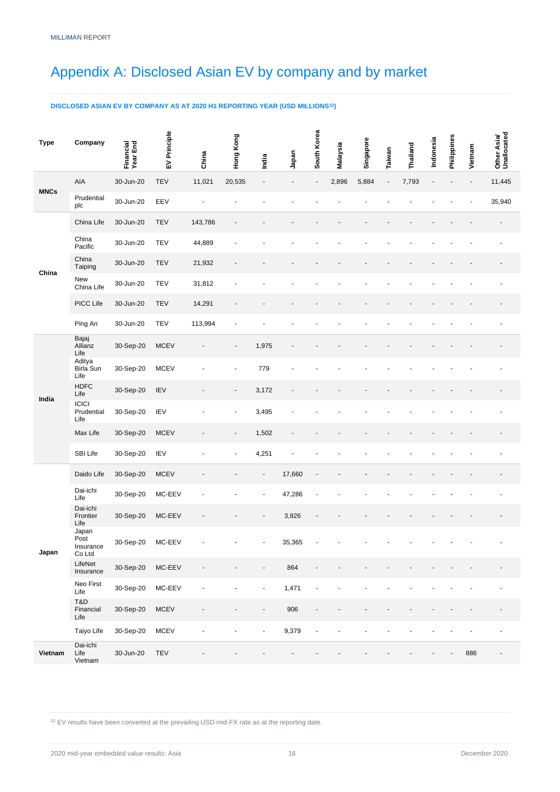## <span id="page-18-0"></span>Appendix A: Disclosed Asian EV by company and by market

#### **DISCLOSED ASIAN EV BY COMPANY AS AT 2020 H1 REPORTING YEAR (USD MILLIONS<sup>22</sup>)**

| <b>Type</b> | Company                              | Financial<br>Year End | EV Principle | China                    | Hong Kong                | India                    | Japan  | South Korea | Malaysia | Singapore | Taiwan                   | Thailand | Indonesia | Philippines | Vietnam | Other Asia/<br>Unallocated |
|-------------|--------------------------------------|-----------------------|--------------|--------------------------|--------------------------|--------------------------|--------|-------------|----------|-----------|--------------------------|----------|-----------|-------------|---------|----------------------------|
|             | AIA                                  | 30-Jun-20             | <b>TEV</b>   | 11,021                   | 20,535                   | $\overline{\phantom{a}}$ |        | ÷,          | 2,896    | 5,884     | $\overline{\phantom{a}}$ | 7,793    |           |             |         | 11,445                     |
| <b>MNCs</b> | Prudential<br>plc                    | 30-Jun-20             | EEV          |                          |                          |                          |        |             |          |           |                          |          |           |             |         | 35,940                     |
|             | China Life                           | 30-Jun-20             | <b>TEV</b>   | 143,786                  |                          |                          |        |             |          |           |                          |          |           |             |         |                            |
|             | China<br>Pacific                     | 30-Jun-20             | <b>TEV</b>   | 44,889                   |                          |                          |        |             |          |           |                          |          |           |             |         |                            |
|             | China<br>Taiping                     | 30-Jun-20             | <b>TEV</b>   | 21,932                   |                          |                          |        |             |          |           |                          |          |           |             |         |                            |
| China       | New<br>China Life                    | 30-Jun-20             | <b>TEV</b>   | 31,812                   |                          |                          |        |             |          |           |                          |          |           |             |         |                            |
|             | PICC Life                            | 30-Jun-20             | TEV          | 14,291                   |                          |                          |        |             |          |           |                          |          |           |             |         |                            |
|             | Ping An                              | 30-Jun-20             | <b>TEV</b>   | 113,994                  |                          |                          |        |             |          |           |                          |          |           |             |         |                            |
|             | Bajaj<br>Allianz<br>Life             | 30-Sep-20             | <b>MCEV</b>  |                          |                          | 1,975                    |        |             |          |           |                          |          |           |             |         |                            |
|             | Aditya<br>Birla Sun<br>Life          | 30-Sep-20             | <b>MCEV</b>  |                          |                          | 779                      |        |             |          |           |                          |          |           |             |         |                            |
| India       | <b>HDFC</b><br>Life                  | 30-Sep-20             | <b>IEV</b>   |                          |                          | 3,172                    |        |             |          |           |                          |          |           |             |         |                            |
|             | <b>ICICI</b><br>Prudential<br>Life   | 30-Sep-20             | <b>IEV</b>   |                          |                          | 3,495                    |        |             |          |           |                          |          |           |             |         |                            |
|             | Max Life                             | 30-Sep-20             | <b>MCEV</b>  |                          | $\overline{\phantom{a}}$ | 1,502                    |        |             |          |           |                          |          |           |             |         |                            |
|             | SBI Life                             | 30-Sep-20             | IEV          |                          |                          | 4,251                    |        |             |          |           |                          |          |           |             |         |                            |
|             | Daido Life                           | 30-Sep-20             | <b>MCEV</b>  |                          |                          |                          | 17,660 |             |          |           |                          |          |           |             |         |                            |
|             | Dai-ichi<br>Life                     | 30-Sep-20             | MC-EEV       |                          |                          |                          | 47,286 |             |          |           |                          |          |           |             |         |                            |
|             | Dai-ichi<br>Frontier<br>Life         | 30-Sep-20             | MC-EEV       |                          |                          |                          | 3,926  |             |          |           |                          |          |           |             |         |                            |
| Japan       | Japan<br>Post<br>Insurance<br>Co Ltd | 30-Sep-20             | MC-EEV       |                          |                          |                          | 35,365 |             |          |           |                          |          |           |             |         |                            |
|             | LifeNet<br>Insurance                 | 30-Sep-20             | MC-EEV       | $\overline{\phantom{a}}$ |                          |                          | 864    |             |          |           |                          |          |           |             |         |                            |
|             | Neo First<br>Life                    | 30-Sep-20             | $MC-EEV$     | ÷,                       |                          | $\tilde{\phantom{a}}$    | 1,471  | ä,          |          |           |                          |          |           |             |         |                            |
|             | T&D<br>Financial<br>Life             | 30-Sep-20             | <b>MCEV</b>  | $\overline{\phantom{a}}$ |                          | $\overline{\phantom{a}}$ | 906    |             |          |           |                          |          |           |             |         |                            |
|             | Taiyo Life                           | 30-Sep-20             | <b>MCEV</b>  | $\sim$                   | $\blacksquare$           | $\sim$                   | 9,379  | ä,          |          |           |                          |          |           |             |         |                            |
| Vietnam     | Dai-ichi<br>Life<br>Vietnam          | 30-Jun-20             | <b>TEV</b>   |                          |                          |                          |        |             |          |           |                          |          |           |             | 886     | $\overline{\phantom{a}}$   |

 $22$  EV results have been converted at the prevailing USD mid-FX rate as at the reporting date.

2020 mid-year embedded value results: Asia 16 December 2020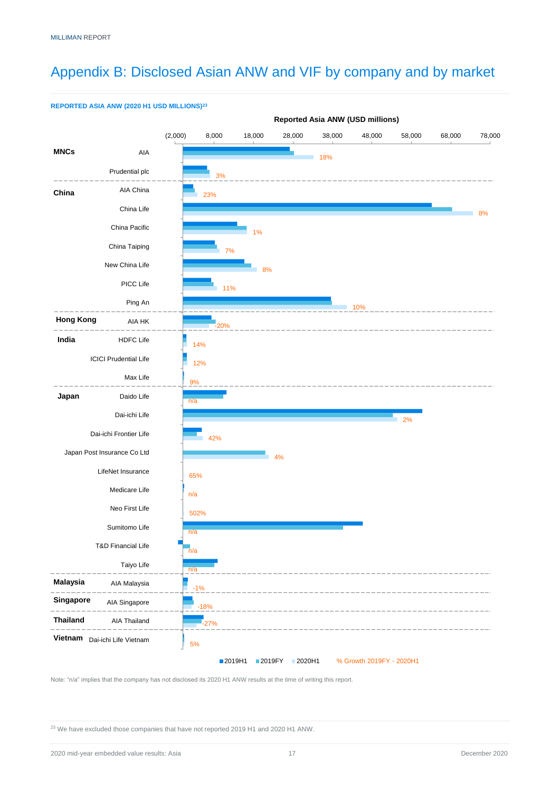# <span id="page-19-0"></span>Appendix B: Disclosed Asian ANW and VIF by company and by market



**REPORTED ASIA ANW (2020 H1 USD MILLIONS)<sup>23</sup>**

Note: "n/a" implies that the company has not disclosed its 2020 H1 ANW results at the time of writing this report.

<sup>23</sup> We have excluded those companies that have not reported 2019 H1 and 2020 H1 ANW.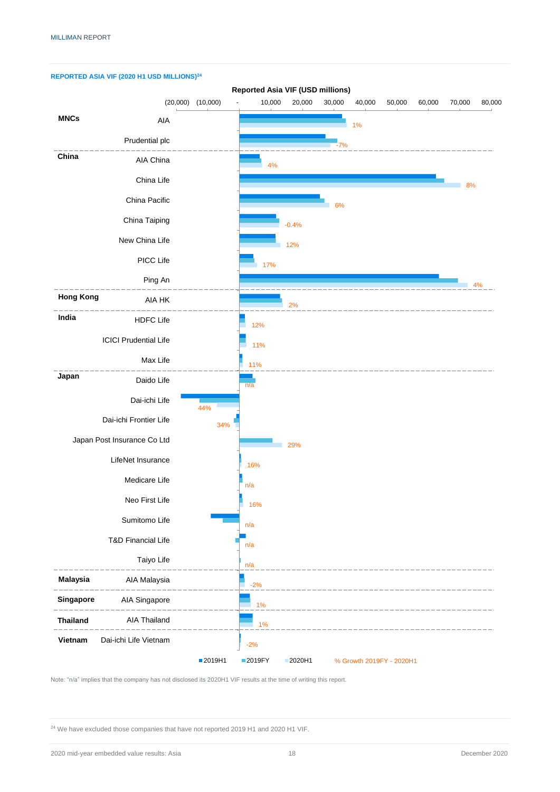

Note: "n/a" implies that the company has not disclosed its 2020H1 VIF results at the time of writing this report.

<sup>24</sup> We have excluded those companies that have not reported 2019 H1 and 2020 H1 VIF.